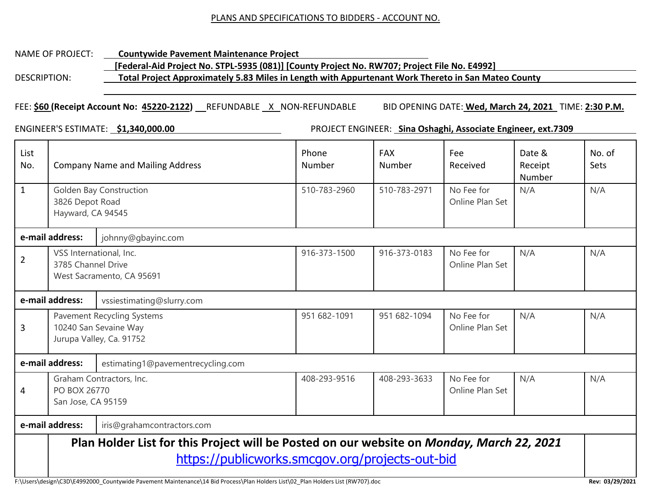#### PLANS AND SPECIFICATIONS TO BIDDERS - ACCOUNT NO.

## NAME OF PROJECT: **Countywide Pavement Maintenance Project [Federal-Aid Project No. STPL-5935 (081)] [County Project No. RW707; Project File No. E4992]** DESCRIPTION: **Total Project Approximately 5.83 Miles in Length with Appurtenant Work Thereto in San Mateo County**

## FEE: **\$60 (Receipt Account No: 45220-2122)** REFUNDABLEX NON-REFUNDABLE BID OPENING DATE: **Wed, March 24, 2021** TIME: **2:30 P.M.**

ENGINEER'S ESTIMATE: **\$1,340,000.00** PROJECT ENGINEER: **Sina Oshaghi, Associate Engineer, ext.7309**

| List<br>No.                           | <b>Company Name and Mailing Address</b>                                                                                                      |                                                                                 | Phone<br>Number | <b>FAX</b><br>Number | Fee<br>Received               | Date &<br>Receipt<br><b>Number</b> | No. of<br>Sets |  |
|---------------------------------------|----------------------------------------------------------------------------------------------------------------------------------------------|---------------------------------------------------------------------------------|-----------------|----------------------|-------------------------------|------------------------------------|----------------|--|
| $\mathbf{1}$                          | <b>Golden Bay Construction</b><br>3826 Depot Road<br>Hayward, CA 94545                                                                       |                                                                                 | 510-783-2960    | 510-783-2971         | No Fee for<br>Online Plan Set | N/A                                | N/A            |  |
| e-mail address:<br>johnny@gbayinc.com |                                                                                                                                              |                                                                                 |                 |                      |                               |                                    |                |  |
| $\overline{2}$                        |                                                                                                                                              | VSS International, Inc.<br>3785 Channel Drive<br>West Sacramento, CA 95691      |                 | 916-373-0183         | No Fee for<br>Online Plan Set | N/A                                | N/A            |  |
|                                       | e-mail address:                                                                                                                              | vssiestimating@slurry.com                                                       |                 |                      |                               |                                    |                |  |
| 3                                     |                                                                                                                                              | Pavement Recycling Systems<br>10240 San Sevaine Way<br>Jurupa Valley, Ca. 91752 |                 | 951 682-1094         | No Fee for<br>Online Plan Set | N/A                                | N/A            |  |
|                                       | e-mail address:                                                                                                                              | estimating1@pavementrecycling.com                                               |                 |                      |                               |                                    |                |  |
| 4                                     | PO BOX 26770<br>San Jose, CA 95159                                                                                                           | Graham Contractors, Inc.                                                        | 408-293-9516    | 408-293-3633         | No Fee for<br>Online Plan Set | N/A                                | N/A            |  |
|                                       | e-mail address:                                                                                                                              | iris@grahamcontractors.com                                                      |                 |                      |                               |                                    |                |  |
|                                       | Plan Holder List for this Project will be Posted on our website on Monday, March 22, 2021<br>https://publicworks.smcgov.org/projects-out-bid |                                                                                 |                 |                      |                               |                                    |                |  |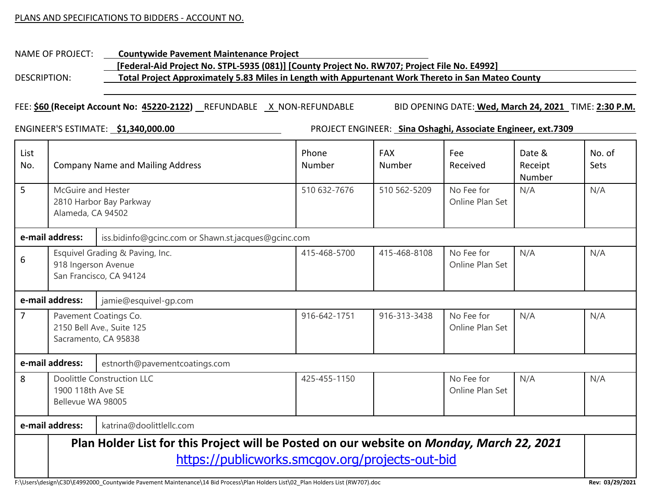#### PLANS AND SPECIFICATIONS TO BIDDERS - ACCOUNT NO.

## NAME OF PROJECT: **Countywide Pavement Maintenance Project [Federal-Aid Project No. STPL-5935 (081)] [County Project No. RW707; Project File No. E4992]** DESCRIPTION: **Total Project Approximately 5.83 Miles in Length with Appurtenant Work Thereto in San Mateo County**

#### FEE: **\$60 (Receipt Account No: 45220-2122)** REFUNDABLE X NON-REFUNDABLE BID OPENING DATE: **Wed, March 24, 2021** TIME: **2:30 P.M.**

ENGINEER'S ESTIMATE: **\$1,340,000.00** PROJECT ENGINEER: **Sina Oshaghi, Associate Engineer, ext.7309**

| List<br>No.                                                            | <b>Company Name and Mailing Address</b>                                                                                                      |                                                                            | Phone<br>Number | <b>FAX</b><br>Number | Fee<br>Received               | Date &<br>Receipt<br>Number | No. of<br>Sets |
|------------------------------------------------------------------------|----------------------------------------------------------------------------------------------------------------------------------------------|----------------------------------------------------------------------------|-----------------|----------------------|-------------------------------|-----------------------------|----------------|
| 5                                                                      | McGuire and Hester<br>2810 Harbor Bay Parkway<br>Alameda, CA 94502                                                                           |                                                                            | 510 632-7676    | 510 562-5209         | No Fee for<br>Online Plan Set | N/A                         | N/A            |
| e-mail address:<br>iss.bidinfo@gcinc.com or Shawn.st.jacques@gcinc.com |                                                                                                                                              |                                                                            |                 |                      |                               |                             |                |
| 6                                                                      | 918 Ingerson Avenue                                                                                                                          | Esquivel Grading & Paving, Inc.<br>San Francisco, CA 94124                 | 415-468-5700    | 415-468-8108         | No Fee for<br>Online Plan Set | N/A                         | N/A            |
| e-mail address:<br>jamie@esquivel-gp.com                               |                                                                                                                                              |                                                                            |                 |                      |                               |                             |                |
| 7                                                                      |                                                                                                                                              | Pavement Coatings Co.<br>2150 Bell Ave., Suite 125<br>Sacramento, CA 95838 | 916-642-1751    | 916-313-3438         | No Fee for<br>Online Plan Set | N/A                         | N/A            |
| e-mail address:<br>estnorth@pavementcoatings.com                       |                                                                                                                                              |                                                                            |                 |                      |                               |                             |                |
| 8                                                                      | 1900 118th Ave SE<br>Bellevue WA 98005                                                                                                       | <b>Doolittle Construction LLC</b>                                          | 425-455-1150    |                      | No Fee for<br>Online Plan Set | N/A                         | N/A            |
|                                                                        | e-mail address:<br>katrina@doolittlellc.com                                                                                                  |                                                                            |                 |                      |                               |                             |                |
|                                                                        | Plan Holder List for this Project will be Posted on our website on Monday, March 22, 2021<br>https://publicworks.smcgov.org/projects-out-bid |                                                                            |                 |                      |                               |                             |                |